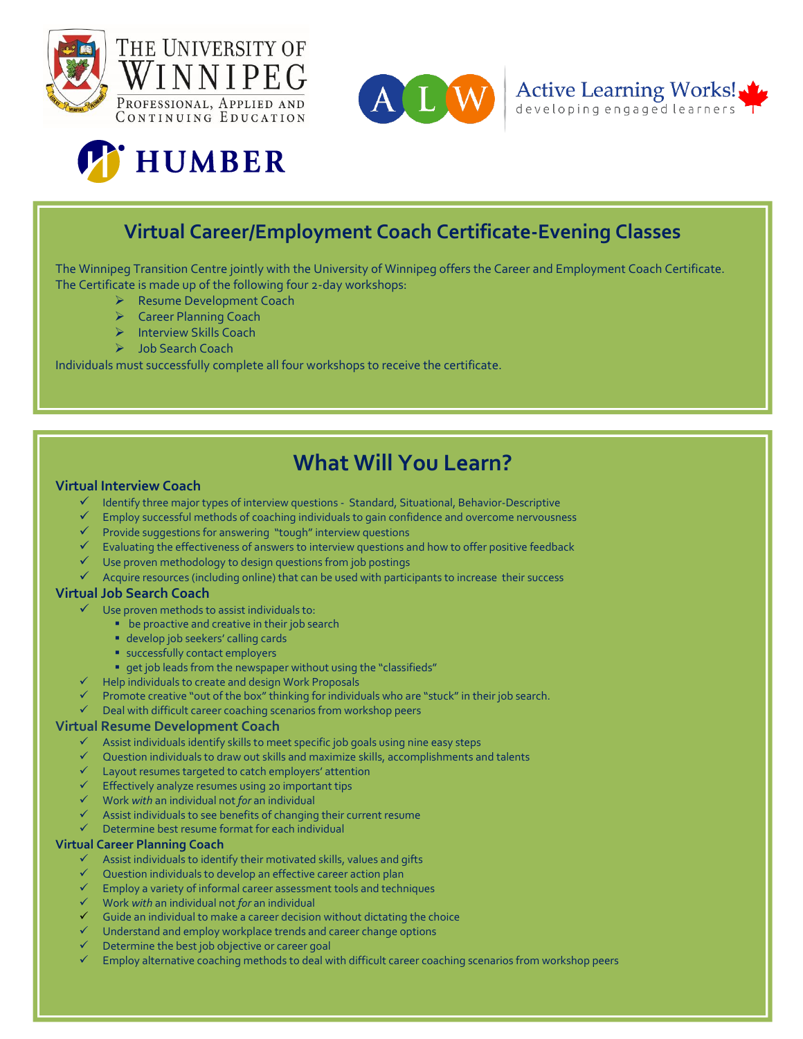







## **Virtual Career/Employment Coach Certificate-Evening Classes**

The Winnipeg Transition Centre jointly with the University of Winnipeg offers the Career and Employment Coach Certificate. The Certificate is made up of the following four 2-day workshops:

- ▶ Resume Development Coach
- ▶ Career Planning Coach
- > Interview Skills Coach
- > Job Search Coach

Individuals must successfully complete all four workshops to receive the certificate.

# **What Will You Learn?**

### **Virtual Interview Coach**

- $\checkmark$  Identify three major types of interview questions Standard, Situational, Behavior-Descriptive
- $\checkmark$  Employ successful methods of coaching individuals to gain confidence and overcome nervousness
- $\checkmark$  Provide suggestions for answering "tough" interview questions
- $\checkmark$  Evaluating the effectiveness of answers to interview questions and how to offer positive feedback
- $\checkmark$  Use proven methodology to design questions from job postings
- $\checkmark$  Acquire resources (including online) that can be used with participants to increase their success

#### **Virtual Job Search Coach**

- Use proven methods to assist individuals to:
	- **•** be proactive and creative in their job search
	- develop job seekers' calling cards
	- **successfully contact employers**
	- get job leads from the newspaper without using the "classifieds"
- $\checkmark$  Help individuals to create and design Work Proposals
- $\checkmark$  Promote creative "out of the box" thinking for individuals who are "stuck" in their job search.
- $\checkmark$  Deal with difficult career coaching scenarios from workshop peers

#### **Virtual Resume Development Coach**

- $\checkmark$  Assist individuals identify skills to meet specific job goals using nine easy steps
- $\checkmark$  Ouestion individuals to draw out skills and maximize skills, accomplishments and talents
- $\checkmark$  Layout resumes targeted to catch employers' attention
- $\checkmark$  Effectively analyze resumes using 20 important tips
- Work *with* an individual not *for* an individual
- $\checkmark$  Assist individuals to see benefits of changing their current resume
- $\checkmark$  Determine best resume format for each individual

#### **Virtual Career Planning Coach**

- $\checkmark$  Assist individuals to identify their motivated skills, values and gifts
- $\checkmark$  Ouestion individuals to develop an effective career action plan
- $\checkmark$  Employ a variety of informal career assessment tools and techniques
- Work *with* an individual not *for* an individual
- $\checkmark$  Guide an individual to make a career decision without dictating the choice
- **★** Understand and employ workplace trends and career change options
- $\checkmark$  Determine the best job objective or career goal
- $\checkmark$  Employ alternative coaching methods to deal with difficult career coaching scenarios from workshop peers